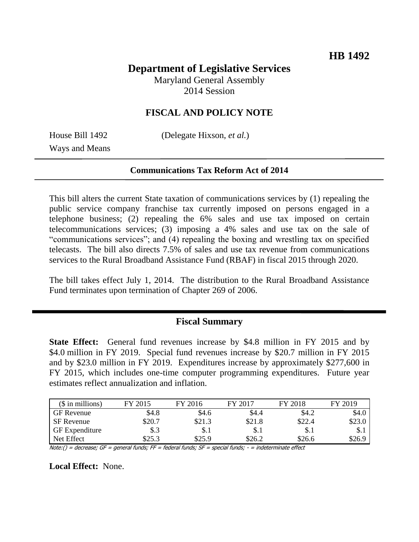# **Department of Legislative Services**

Maryland General Assembly 2014 Session

### **FISCAL AND POLICY NOTE**

Ways and Means

House Bill 1492 (Delegate Hixson, *et al.*)

#### **Communications Tax Reform Act of 2014**

This bill alters the current State taxation of communications services by (1) repealing the public service company franchise tax currently imposed on persons engaged in a telephone business; (2) repealing the 6% sales and use tax imposed on certain telecommunications services; (3) imposing a 4% sales and use tax on the sale of "communications services"; and (4) repealing the boxing and wrestling tax on specified telecasts. The bill also directs 7.5% of sales and use tax revenue from communications services to the Rural Broadband Assistance Fund (RBAF) in fiscal 2015 through 2020.

The bill takes effect July 1, 2014. The distribution to the Rural Broadband Assistance Fund terminates upon termination of Chapter 269 of 2006.

#### **Fiscal Summary**

**State Effect:** General fund revenues increase by \$4.8 million in FY 2015 and by \$4.0 million in FY 2019. Special fund revenues increase by \$20.7 million in FY 2015 and by \$23.0 million in FY 2019. Expenditures increase by approximately \$277,600 in FY 2015, which includes one-time computer programming expenditures. Future year estimates reflect annualization and inflation.

| $$$ in millions)      | $\sqrt{2015}$ | FY 2016 | FY 2018<br>FY 2017 |        | 12019<br><b>EV</b> |  |
|-----------------------|---------------|---------|--------------------|--------|--------------------|--|
| <b>GF</b> Revenue     | \$4.8         | \$4.6   | \$4.4              | \$4.2  | \$4.0              |  |
| <b>SF</b> Revenue     | \$20.7        | \$21.3  | \$21.8             | \$22.4 | \$23.0             |  |
| <b>GF</b> Expenditure | \$.3          | \$.1    | \$.1               | \$.1   | \$.1               |  |
| Net Effect            | \$25.3        | \$25.9  | \$26.2             | \$26.6 | \$26.9             |  |

 $Note: ( ) = decrease; GF = general funds; FF = federal funds; SF = special funds; - in indicate effect$ 

**Local Effect:** None.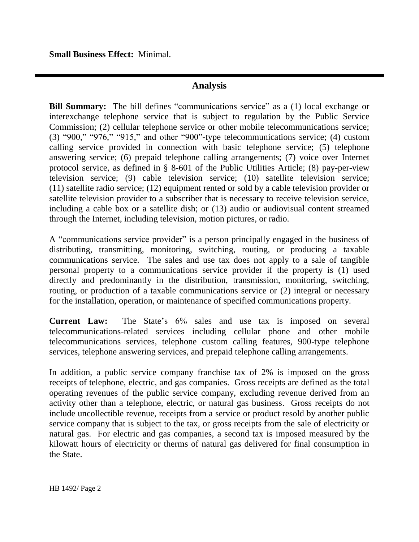**Small Business Effect:** Minimal.

### **Analysis**

**Bill Summary:** The bill defines "communications service" as a (1) local exchange or interexchange telephone service that is subject to regulation by the Public Service Commission; (2) cellular telephone service or other mobile telecommunications service; (3) "900," "976," "915," and other "900"-type telecommunications service; (4) custom calling service provided in connection with basic telephone service; (5) telephone answering service; (6) prepaid telephone calling arrangements; (7) voice over Internet protocol service, as defined in § 8-601 of the Public Utilities Article; (8) pay-per-view television service; (9) cable television service; (10) satellite television service; (11) satellite radio service; (12) equipment rented or sold by a cable television provider or satellite television provider to a subscriber that is necessary to receive television service, including a cable box or a satellite dish; or (13) audio or audiovisual content streamed through the Internet, including television, motion pictures, or radio.

A "communications service provider" is a person principally engaged in the business of distributing, transmitting, monitoring, switching, routing, or producing a taxable communications service. The sales and use tax does not apply to a sale of tangible personal property to a communications service provider if the property is (1) used directly and predominantly in the distribution, transmission, monitoring, switching, routing, or production of a taxable communications service or (2) integral or necessary for the installation, operation, or maintenance of specified communications property.

**Current Law:** The State's 6% sales and use tax is imposed on several telecommunications-related services including cellular phone and other mobile telecommunications services, telephone custom calling features, 900-type telephone services, telephone answering services, and prepaid telephone calling arrangements.

In addition, a public service company franchise tax of 2% is imposed on the gross receipts of telephone, electric, and gas companies. Gross receipts are defined as the total operating revenues of the public service company, excluding revenue derived from an activity other than a telephone, electric, or natural gas business. Gross receipts do not include uncollectible revenue, receipts from a service or product resold by another public service company that is subject to the tax, or gross receipts from the sale of electricity or natural gas. For electric and gas companies, a second tax is imposed measured by the kilowatt hours of electricity or therms of natural gas delivered for final consumption in the State.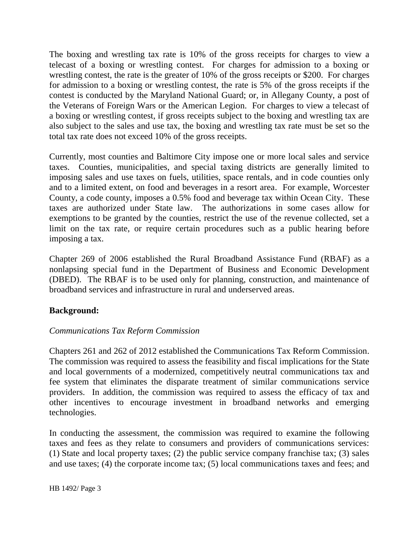The boxing and wrestling tax rate is 10% of the gross receipts for charges to view a telecast of a boxing or wrestling contest. For charges for admission to a boxing or wrestling contest, the rate is the greater of 10% of the gross receipts or \$200. For charges for admission to a boxing or wrestling contest, the rate is 5% of the gross receipts if the contest is conducted by the Maryland National Guard; or, in Allegany County, a post of the Veterans of Foreign Wars or the American Legion. For charges to view a telecast of a boxing or wrestling contest, if gross receipts subject to the boxing and wrestling tax are also subject to the sales and use tax, the boxing and wrestling tax rate must be set so the total tax rate does not exceed 10% of the gross receipts.

Currently, most counties and Baltimore City impose one or more local sales and service taxes. Counties, municipalities, and special taxing districts are generally limited to imposing sales and use taxes on fuels, utilities, space rentals, and in code counties only and to a limited extent, on food and beverages in a resort area. For example, Worcester County, a code county, imposes a 0.5% food and beverage tax within Ocean City. These taxes are authorized under State law. The authorizations in some cases allow for exemptions to be granted by the counties, restrict the use of the revenue collected, set a limit on the tax rate, or require certain procedures such as a public hearing before imposing a tax.

Chapter 269 of 2006 established the Rural Broadband Assistance Fund (RBAF) as a nonlapsing special fund in the Department of Business and Economic Development (DBED). The RBAF is to be used only for planning, construction, and maintenance of broadband services and infrastructure in rural and underserved areas.

#### **Background:**

#### *Communications Tax Reform Commission*

Chapters 261 and 262 of 2012 established the Communications Tax Reform Commission. The commission was required to assess the feasibility and fiscal implications for the State and local governments of a modernized, competitively neutral communications tax and fee system that eliminates the disparate treatment of similar communications service providers. In addition, the commission was required to assess the efficacy of tax and other incentives to encourage investment in broadband networks and emerging technologies.

In conducting the assessment, the commission was required to examine the following taxes and fees as they relate to consumers and providers of communications services: (1) State and local property taxes; (2) the public service company franchise tax; (3) sales and use taxes; (4) the corporate income tax; (5) local communications taxes and fees; and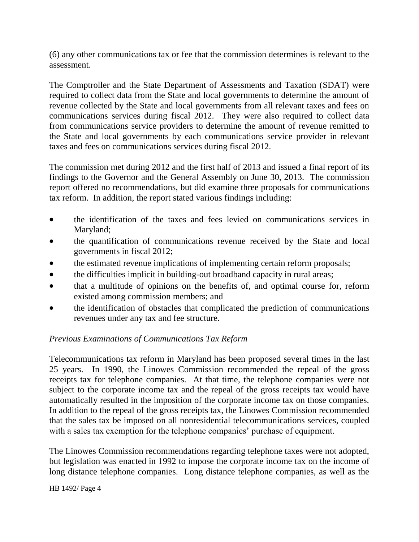(6) any other communications tax or fee that the commission determines is relevant to the assessment.

The Comptroller and the State Department of Assessments and Taxation (SDAT) were required to collect data from the State and local governments to determine the amount of revenue collected by the State and local governments from all relevant taxes and fees on communications services during fiscal 2012. They were also required to collect data from communications service providers to determine the amount of revenue remitted to the State and local governments by each communications service provider in relevant taxes and fees on communications services during fiscal 2012.

The commission met during 2012 and the first half of 2013 and issued a final report of its findings to the Governor and the General Assembly on June 30, 2013. The commission report offered no recommendations, but did examine three proposals for communications tax reform. In addition, the report stated various findings including:

- the identification of the taxes and fees levied on communications services in Maryland;
- the quantification of communications revenue received by the State and local governments in fiscal 2012;
- the estimated revenue implications of implementing certain reform proposals;
- the difficulties implicit in building-out broadband capacity in rural areas;
- that a multitude of opinions on the benefits of, and optimal course for, reform existed among commission members; and
- the identification of obstacles that complicated the prediction of communications revenues under any tax and fee structure.

## *Previous Examinations of Communications Tax Reform*

Telecommunications tax reform in Maryland has been proposed several times in the last 25 years. In 1990, the Linowes Commission recommended the repeal of the gross receipts tax for telephone companies. At that time, the telephone companies were not subject to the corporate income tax and the repeal of the gross receipts tax would have automatically resulted in the imposition of the corporate income tax on those companies. In addition to the repeal of the gross receipts tax, the Linowes Commission recommended that the sales tax be imposed on all nonresidential telecommunications services, coupled with a sales tax exemption for the telephone companies' purchase of equipment.

The Linowes Commission recommendations regarding telephone taxes were not adopted, but legislation was enacted in 1992 to impose the corporate income tax on the income of long distance telephone companies. Long distance telephone companies, as well as the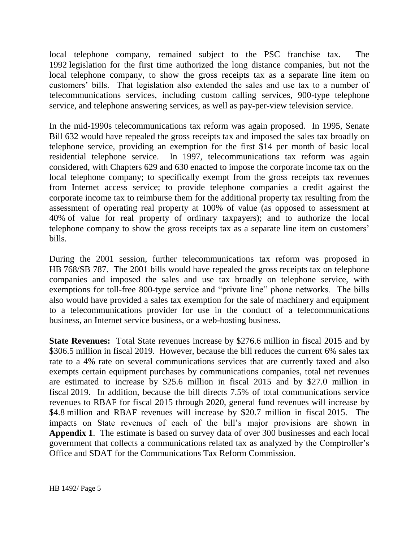local telephone company, remained subject to the PSC franchise tax. The 1992 legislation for the first time authorized the long distance companies, but not the local telephone company, to show the gross receipts tax as a separate line item on customers' bills. That legislation also extended the sales and use tax to a number of telecommunications services, including custom calling services, 900-type telephone service, and telephone answering services, as well as pay-per-view television service.

In the mid-1990s telecommunications tax reform was again proposed. In 1995, Senate Bill 632 would have repealed the gross receipts tax and imposed the sales tax broadly on telephone service, providing an exemption for the first \$14 per month of basic local residential telephone service. In 1997, telecommunications tax reform was again considered, with Chapters 629 and 630 enacted to impose the corporate income tax on the local telephone company; to specifically exempt from the gross receipts tax revenues from Internet access service; to provide telephone companies a credit against the corporate income tax to reimburse them for the additional property tax resulting from the assessment of operating real property at 100% of value (as opposed to assessment at 40% of value for real property of ordinary taxpayers); and to authorize the local telephone company to show the gross receipts tax as a separate line item on customers' bills.

During the 2001 session, further telecommunications tax reform was proposed in HB 768/SB 787. The 2001 bills would have repealed the gross receipts tax on telephone companies and imposed the sales and use tax broadly on telephone service, with exemptions for toll-free 800-type service and "private line" phone networks. The bills also would have provided a sales tax exemption for the sale of machinery and equipment to a telecommunications provider for use in the conduct of a telecommunications business, an Internet service business, or a web-hosting business.

**State Revenues:** Total State revenues increase by \$276.6 million in fiscal 2015 and by \$306.5 million in fiscal 2019. However, because the bill reduces the current 6% sales tax rate to a 4% rate on several communications services that are currently taxed and also exempts certain equipment purchases by communications companies, total net revenues are estimated to increase by \$25.6 million in fiscal 2015 and by \$27.0 million in fiscal 2019. In addition, because the bill directs 7.5% of total communications service revenues to RBAF for fiscal 2015 through 2020, general fund revenues will increase by \$4.8 million and RBAF revenues will increase by \$20.7 million in fiscal 2015. The impacts on State revenues of each of the bill's major provisions are shown in **Appendix 1**. The estimate is based on survey data of over 300 businesses and each local government that collects a communications related tax as analyzed by the Comptroller's Office and SDAT for the Communications Tax Reform Commission.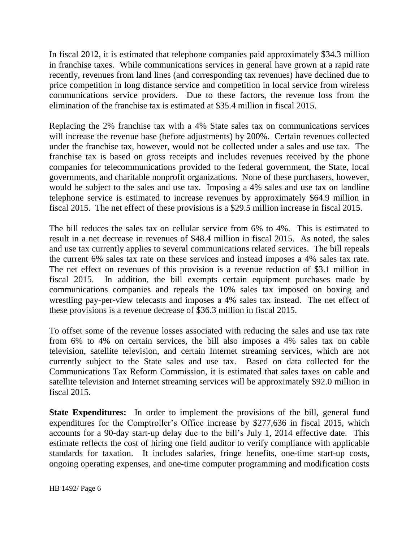In fiscal 2012, it is estimated that telephone companies paid approximately \$34.3 million in franchise taxes. While communications services in general have grown at a rapid rate recently, revenues from land lines (and corresponding tax revenues) have declined due to price competition in long distance service and competition in local service from wireless communications service providers. Due to these factors, the revenue loss from the elimination of the franchise tax is estimated at \$35.4 million in fiscal 2015.

Replacing the 2% franchise tax with a 4% State sales tax on communications services will increase the revenue base (before adjustments) by 200%. Certain revenues collected under the franchise tax, however, would not be collected under a sales and use tax. The franchise tax is based on gross receipts and includes revenues received by the phone companies for telecommunications provided to the federal government, the State, local governments, and charitable nonprofit organizations. None of these purchasers, however, would be subject to the sales and use tax. Imposing a 4% sales and use tax on landline telephone service is estimated to increase revenues by approximately \$64.9 million in fiscal 2015. The net effect of these provisions is a \$29.5 million increase in fiscal 2015.

The bill reduces the sales tax on cellular service from 6% to 4%. This is estimated to result in a net decrease in revenues of \$48.4 million in fiscal 2015. As noted, the sales and use tax currently applies to several communications related services. The bill repeals the current 6% sales tax rate on these services and instead imposes a 4% sales tax rate. The net effect on revenues of this provision is a revenue reduction of \$3.1 million in fiscal 2015. In addition, the bill exempts certain equipment purchases made by communications companies and repeals the 10% sales tax imposed on boxing and wrestling pay-per-view telecasts and imposes a 4% sales tax instead. The net effect of these provisions is a revenue decrease of \$36.3 million in fiscal 2015.

To offset some of the revenue losses associated with reducing the sales and use tax rate from 6% to 4% on certain services, the bill also imposes a 4% sales tax on cable television, satellite television, and certain Internet streaming services, which are not currently subject to the State sales and use tax. Based on data collected for the Communications Tax Reform Commission, it is estimated that sales taxes on cable and satellite television and Internet streaming services will be approximately \$92.0 million in fiscal 2015.

**State Expenditures:** In order to implement the provisions of the bill, general fund expenditures for the Comptroller's Office increase by \$277,636 in fiscal 2015, which accounts for a 90-day start-up delay due to the bill's July 1, 2014 effective date. This estimate reflects the cost of hiring one field auditor to verify compliance with applicable standards for taxation. It includes salaries, fringe benefits, one-time start-up costs, ongoing operating expenses, and one-time computer programming and modification costs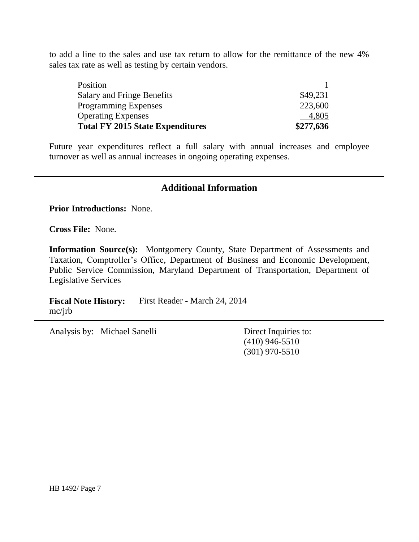to add a line to the sales and use tax return to allow for the remittance of the new 4% sales tax rate as well as testing by certain vendors.

| <b>Total FY 2015 State Expenditures</b> | \$277,636 |  |  |
|-----------------------------------------|-----------|--|--|
| <b>Operating Expenses</b>               | 4,805     |  |  |
| <b>Programming Expenses</b>             | 223,600   |  |  |
| Salary and Fringe Benefits              | \$49,231  |  |  |
| Position                                |           |  |  |

Future year expenditures reflect a full salary with annual increases and employee turnover as well as annual increases in ongoing operating expenses.

#### **Additional Information**

**Prior Introductions:** None.

**Cross File:** None.

**Information Source(s):** Montgomery County, State Department of Assessments and Taxation, Comptroller's Office, Department of Business and Economic Development, Public Service Commission, Maryland Department of Transportation, Department of Legislative Services

**Fiscal Note History:** First Reader - March 24, 2014 mc/jrb

Analysis by: Michael Sanelli Direct Inquiries to:

(410) 946-5510 (301) 970-5510